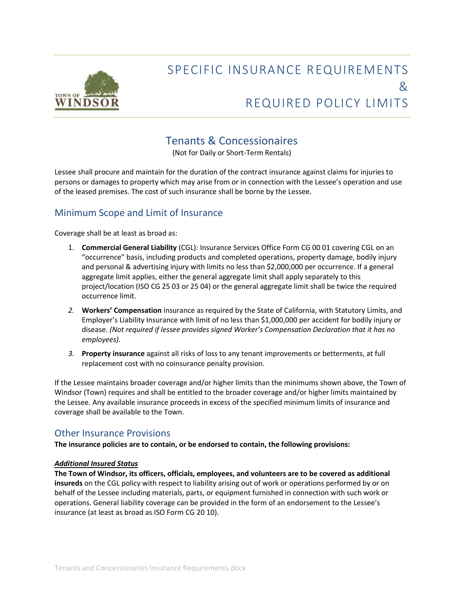

# SPECIFIC INSURANCE REQUIREMENTS  $8<sub>k</sub>$ REQUIRED POLICY LIMITS

# Tenants & Concessionaires

(Not for Daily or Short-Term Rentals)

Lessee shall procure and maintain for the duration of the contract insurance against claims for injuries to persons or damages to property which may arise from or in connection with the Lessee's operation and use of the leased premises. The cost of such insurance shall be borne by the Lessee.

## Minimum Scope and Limit of Insurance

Coverage shall be at least as broad as:

- 1. **Commercial General Liability** (CGL): Insurance Services Office Form CG 00 01 covering CGL on an "occurrence" basis, including products and completed operations, property damage, bodily injury and personal & advertising injury with limits no less than \$2,000,000 per occurrence. If a general aggregate limit applies, either the general aggregate limit shall apply separately to this project/location (ISO CG 25 03 or 25 04) or the general aggregate limit shall be twice the required occurrence limit.
- *2.* **Workers' Compensation** insurance as required by the State of California, with Statutory Limits, and Employer's Liability Insurance with limit of no less than \$1,000,000 per accident for bodily injury or disease. *(Not required if lessee provides signed Worker's Compensation Declaration that it has no employees).*
- *3.* **Property insurance** against all risks of loss to any tenant improvements or betterments, at full replacement cost with no coinsurance penalty provision.

If the Lessee maintains broader coverage and/or higher limits than the minimums shown above, the Town of Windsor (Town) requires and shall be entitled to the broader coverage and/or higher limits maintained by the Lessee. Any available insurance proceeds in excess of the specified minimum limits of insurance and coverage shall be available to the Town.

### Other Insurance Provisions

**The insurance policies are to contain, or be endorsed to contain, the following provisions:**

#### *Additional Insured Status*

**The Town of Windsor, its officers, officials, employees, and volunteers are to be covered as additional insureds** on the CGL policy with respect to liability arising out of work or operations performed by or on behalf of the Lessee including materials, parts, or equipment furnished in connection with such work or operations. General liability coverage can be provided in the form of an endorsement to the Lessee's insurance (at least as broad as ISO Form CG 20 10).